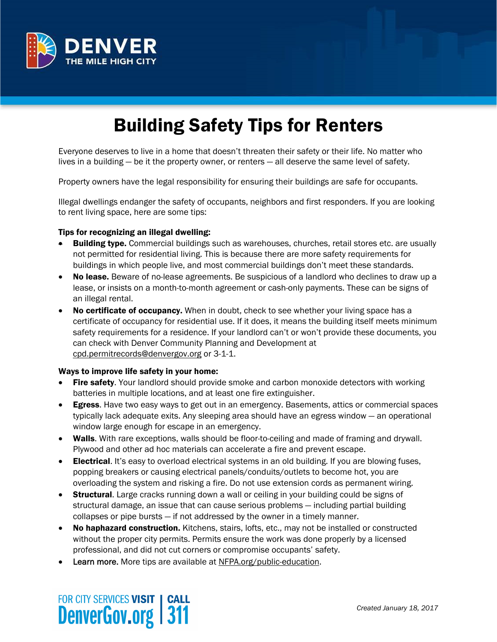

# Building Safety Tips for Renters

Everyone deserves to live in a home that doesn't threaten their safety or their life. No matter who lives in a building — be it the property owner, or renters — all deserve the same level of safety.

Property owners have the legal responsibility for ensuring their buildings are safe for occupants.

Illegal dwellings endanger the safety of occupants, neighbors and first responders. If you are looking to rent living space, here are some tips:

#### Tips for recognizing an illegal dwelling:

- **Building type.** Commercial buildings such as warehouses, churches, retail stores etc. are usually not permitted for residential living. This is because there are more safety requirements for buildings in which people live, and most commercial buildings don't meet these standards.
- No lease. Beware of no-lease agreements. Be suspicious of a landlord who declines to draw up a lease, or insists on a month-to-month agreement or cash-only payments. These can be signs of an illegal rental.
- No certificate of occupancy. When in doubt, check to see whether your living space has a certificate of occupancy for residential use. If it does, it means the building itself meets minimum safety requirements for a residence. If your landlord can't or won't provide these documents, you can check with Denver Community Planning and Development at cpd.permitrecords@denvergov.org or 3-1-1.

#### Ways to improve life safety in your home:

- Fire safety. Your landlord should provide smoke and carbon monoxide detectors with working batteries in multiple locations, and at least one fire extinguisher.
- **Egress.** Have two easy ways to get out in an emergency. Basements, attics or commercial spaces typically lack adequate exits. Any sleeping area should have an egress window — an operational window large enough for escape in an emergency.
- Walls. With rare exceptions, walls should be floor-to-ceiling and made of framing and drywall. Plywood and other ad hoc materials can accelerate a fire and prevent escape.
- **Electrical.** It's easy to overload electrical systems in an old building. If you are blowing fuses, popping breakers or causing electrical panels/conduits/outlets to become hot, you are overloading the system and risking a fire. Do not use extension cords as permanent wiring.
- **Structural.** Large cracks running down a wall or ceiling in your building could be signs of structural damage, an issue that can cause serious problems — including partial building collapses or pipe bursts — if not addressed by the owner in a timely manner.
- No haphazard construction. Kitchens, stairs, lofts, etc., may not be installed or constructed without the proper city permits. Permits ensure the work was done properly by a licensed professional, and did not cut corners or compromise occupants' safety.
- Learn more. More tips are available at NFPA.org/public-education.

### FOR CITY SERVICES VISIT | CALL **DenverGov.org 311**